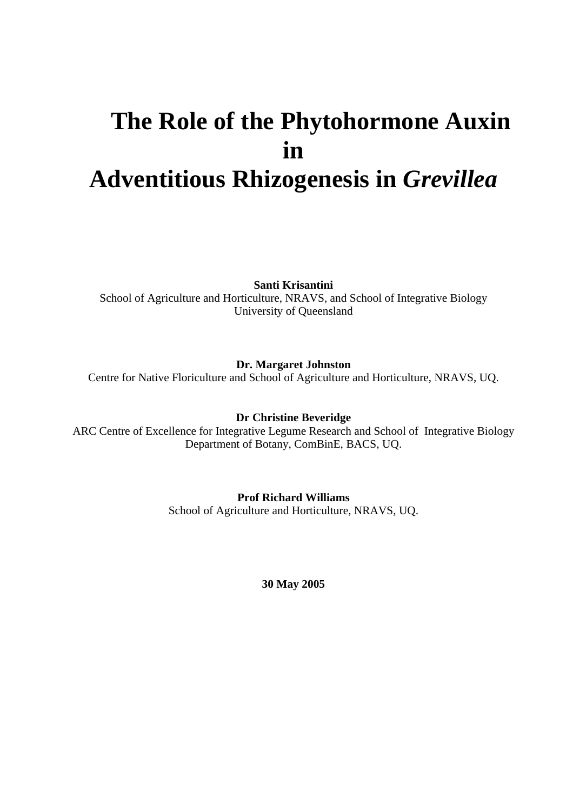# **The Role of the Phytohormone Auxin in Adventitious Rhizogenesis in** *Grevillea*

**Santi Krisantini** 

School of Agriculture and Horticulture, NRAVS, and School of Integrative Biology University of Queensland

# **Dr. Margaret Johnston**

Centre for Native Floriculture and School of Agriculture and Horticulture, NRAVS, UQ.

**Dr Christine Beveridge** 

ARC Centre of Excellence for Integrative Legume Research and School of Integrative Biology Department of Botany, ComBinE, BACS, UQ.

**Prof Richard Williams** 

School of Agriculture and Horticulture, NRAVS, UQ.

**30 May 2005**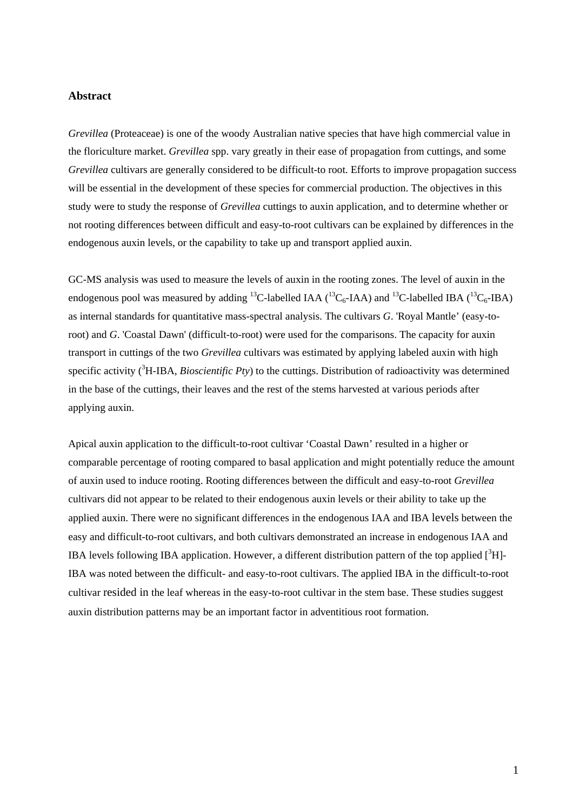#### **Abstract**

*Grevillea* (Proteaceae) is one of the woody Australian native species that have high commercial value in the floriculture market. *Grevillea* spp. vary greatly in their ease of propagation from cuttings, and some *Grevillea* cultivars are generally considered to be difficult-to root. Efforts to improve propagation success will be essential in the development of these species for commercial production. The objectives in this study were to study the response of *Grevillea* cuttings to auxin application, and to determine whether or not rooting differences between difficult and easy-to-root cultivars can be explained by differences in the endogenous auxin levels, or the capability to take up and transport applied auxin.

GC-MS analysis was used to measure the levels of auxin in the rooting zones. The level of auxin in the endogenous pool was measured by adding <sup>13</sup>C-labelled IAA (<sup>13</sup>C<sub>6</sub>-IAA) and <sup>13</sup>C-labelled IBA (<sup>13</sup>C<sub>6</sub>-IBA) as internal standards for quantitative mass-spectral analysis. The cultivars *G*. 'Royal Mantle' (easy-toroot) and *G*. 'Coastal Dawn' (difficult-to-root) were used for the comparisons. The capacity for auxin transport in cuttings of the two *Grevillea* cultivars was estimated by applying labeled auxin with high specific activity (<sup>3</sup>H-IBA, *Bioscientific Pty*) to the cuttings. Distribution of radioactivity was determined in the base of the cuttings, their leaves and the rest of the stems harvested at various periods after applying auxin.

Apical auxin application to the difficult-to-root cultivar 'Coastal Dawn' resulted in a higher or comparable percentage of rooting compared to basal application and might potentially reduce the amount of auxin used to induce rooting. Rooting differences between the difficult and easy-to-root *Grevillea* cultivars did not appear to be related to their endogenous auxin levels or their ability to take up the applied auxin. There were no significant differences in the endogenous IAA and IBA levels between the easy and difficult-to-root cultivars, and both cultivars demonstrated an increase in endogenous IAA and IBA levels following IBA application. However, a different distribution pattern of the top applied  $[^{3}H]$ -IBA was noted between the difficult- and easy-to-root cultivars. The applied IBA in the difficult-to-root cultivar resided in the leaf whereas in the easy-to-root cultivar in the stem base. These studies suggest auxin distribution patterns may be an important factor in adventitious root formation.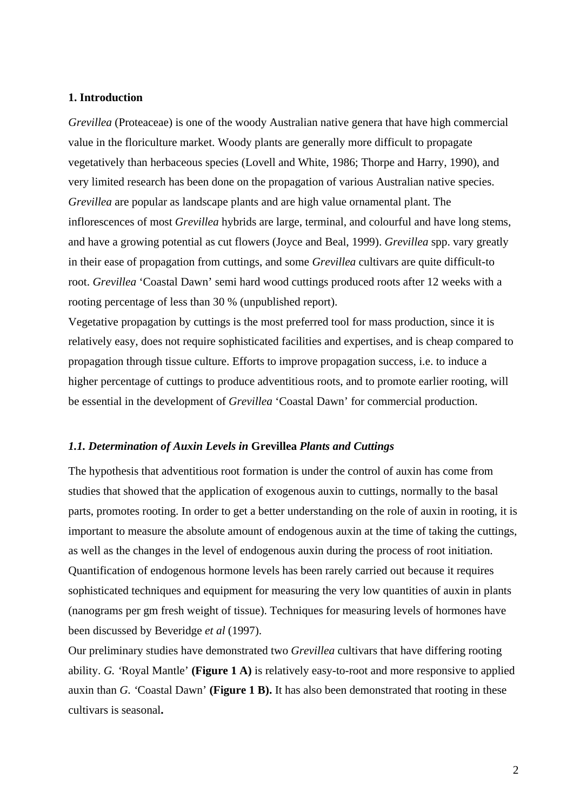#### **1. Introduction**

*Grevillea* (Proteaceae) is one of the woody Australian native genera that have high commercial value in the floriculture market. Woody plants are generally more difficult to propagate vegetatively than herbaceous species (Lovell and White, 1986; Thorpe and Harry, 1990), and very limited research has been done on the propagation of various Australian native species. *Grevillea* are popular as landscape plants and are high value ornamental plant. The inflorescences of most *Grevillea* hybrids are large, terminal, and colourful and have long stems, and have a growing potential as cut flowers (Joyce and Beal, 1999). *Grevillea* spp. vary greatly in their ease of propagation from cuttings, and some *Grevillea* cultivars are quite difficult-to root. *Grevillea* 'Coastal Dawn' semi hard wood cuttings produced roots after 12 weeks with a rooting percentage of less than 30 % (unpublished report).

Vegetative propagation by cuttings is the most preferred tool for mass production, since it is relatively easy, does not require sophisticated facilities and expertises, and is cheap compared to propagation through tissue culture. Efforts to improve propagation success, i.e. to induce a higher percentage of cuttings to produce adventitious roots, and to promote earlier rooting, will be essential in the development of *Grevillea* 'Coastal Dawn' for commercial production.

#### *1.1. Determination of Auxin Levels in* **Grevillea** *Plants and Cuttings*

The hypothesis that adventitious root formation is under the control of auxin has come from studies that showed that the application of exogenous auxin to cuttings, normally to the basal parts, promotes rooting. In order to get a better understanding on the role of auxin in rooting, it is important to measure the absolute amount of endogenous auxin at the time of taking the cuttings, as well as the changes in the level of endogenous auxin during the process of root initiation. Quantification of endogenous hormone levels has been rarely carried out because it requires sophisticated techniques and equipment for measuring the very low quantities of auxin in plants (nanograms per gm fresh weight of tissue). Techniques for measuring levels of hormones have been discussed by Beveridge *et al* (1997).

Our preliminary studies have demonstrated two *Grevillea* cultivars that have differing rooting ability. *G. '*Royal Mantle' **(Figure 1 A)** is relatively easy-to-root and more responsive to applied auxin than *G. '*Coastal Dawn' **(Figure 1 B).** It has also been demonstrated that rooting in these cultivars is seasonal**.**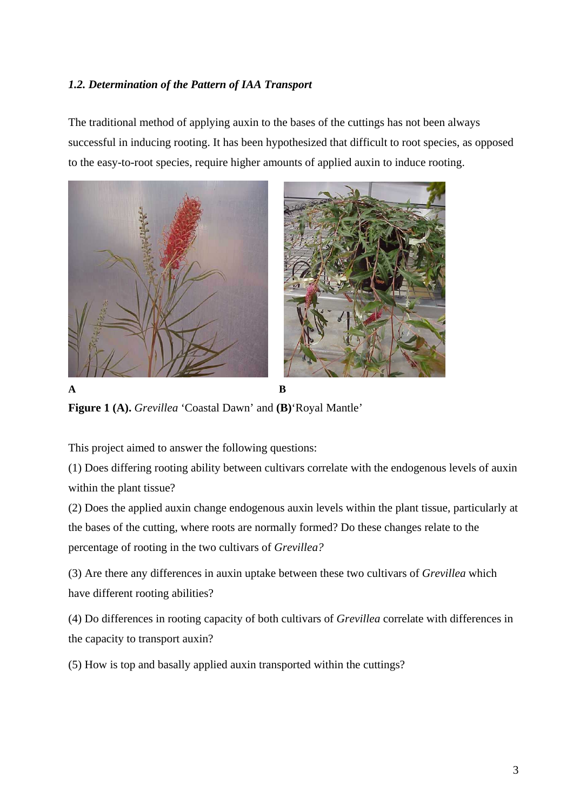## *1.2. Determination of the Pattern of IAA Transport*

The traditional method of applying auxin to the bases of the cuttings has not been always successful in inducing rooting. It has been hypothesized that difficult to root species, as opposed to the easy-to-root species, require higher amounts of applied auxin to induce rooting.





**A B Figure 1 (A).** *Grevillea* 'Coastal Dawn' and **(B)**'Royal Mantle'

This project aimed to answer the following questions:

(1) Does differing rooting ability between cultivars correlate with the endogenous levels of auxin within the plant tissue?

(2) Does the applied auxin change endogenous auxin levels within the plant tissue, particularly at the bases of the cutting, where roots are normally formed? Do these changes relate to the percentage of rooting in the two cultivars of *Grevillea?* 

(3) Are there any differences in auxin uptake between these two cultivars of *Grevillea* which have different rooting abilities?

(4) Do differences in rooting capacity of both cultivars of *Grevillea* correlate with differences in the capacity to transport auxin?

(5) How is top and basally applied auxin transported within the cuttings?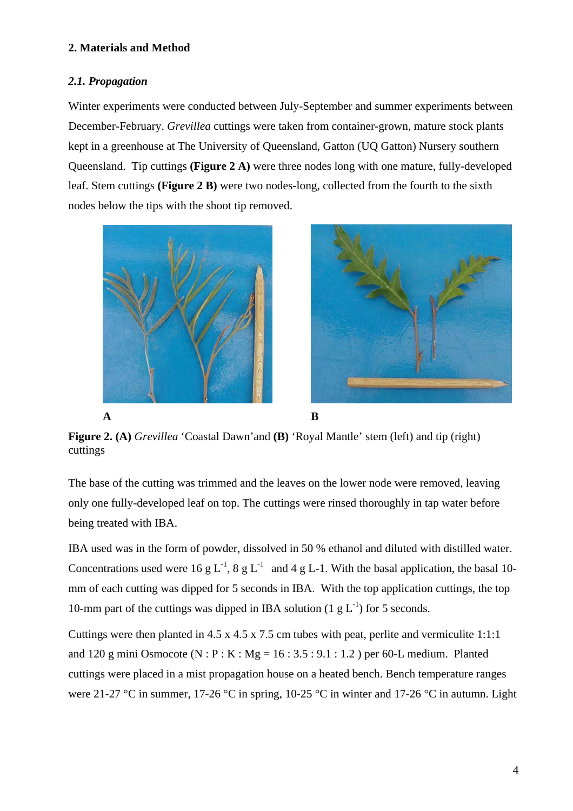## **2. Materials and Method**

## *2.1. Propagation*

Winter experiments were conducted between July-September and summer experiments between December-February. *Grevillea* cuttings were taken from container-grown, mature stock plants kept in a greenhouse at The University of Queensland, Gatton (UQ Gatton) Nursery southern Queensland. Tip cuttings **(Figure 2 A)** were three nodes long with one mature, fully-developed leaf. Stem cuttings **(Figure 2 B)** were two nodes-long, collected from the fourth to the sixth nodes below the tips with the shoot tip removed.



**Figure 2. (A)** *Grevillea* 'Coastal Dawn'and **(B)** 'Royal Mantle' stem (left) and tip (right) cuttings

The base of the cutting was trimmed and the leaves on the lower node were removed, leaving only one fully-developed leaf on top. The cuttings were rinsed thoroughly in tap water before being treated with IBA.

IBA used was in the form of powder, dissolved in 50 % ethanol and diluted with distilled water. Concentrations used were  $16 \text{ g L}^{-1}$ ,  $8 \text{ g L}^{-1}$  and  $4 \text{ g L}$ -1. With the basal application, the basal 10mm of each cutting was dipped for 5 seconds in IBA. With the top application cuttings, the top 10-mm part of the cuttings was dipped in IBA solution (1 g  $L^{-1}$ ) for 5 seconds.

Cuttings were then planted in 4.5 x 4.5 x 7.5 cm tubes with peat, perlite and vermiculite 1:1:1 and 120 g mini Osmocote (N : P : K : Mg =  $16:3.5:9.1:1.2$ ) per 60-L medium. Planted cuttings were placed in a mist propagation house on a heated bench. Bench temperature ranges were 21-27 °C in summer, 17-26 °C in spring, 10-25 °C in winter and 17-26 °C in autumn. Light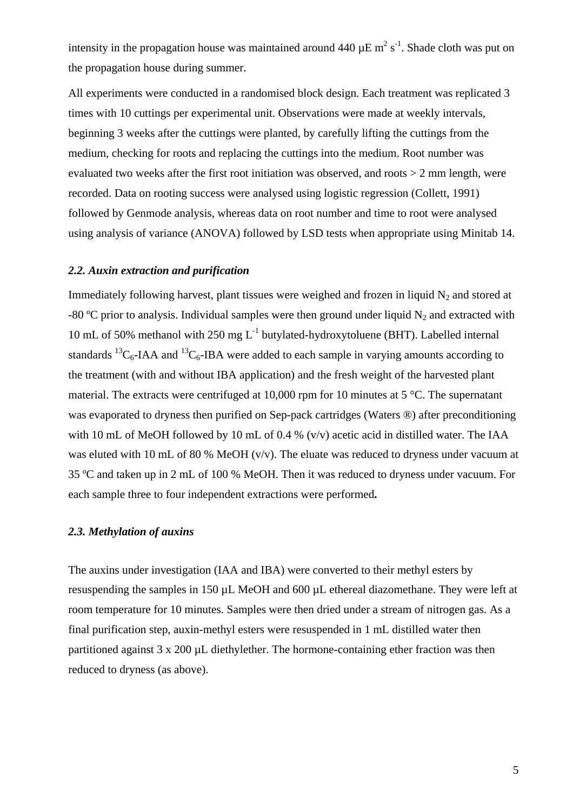intensity in the propagation house was maintained around 440  $\mu$ E m<sup>2</sup> s<sup>-1</sup>. Shade cloth was put on the propagation house during summer.

All experiments were conducted in a randomised block design. Each treatment was replicated 3 times with 10 cuttings per experimental unit. Observations were made at weekly intervals, beginning 3 weeks after the cuttings were planted, by carefully lifting the cuttings from the medium, checking for roots and replacing the cuttings into the medium. Root number was evaluated two weeks after the first root initiation was observed, and roots > 2 mm length, were recorded. Data on rooting success were analysed using logistic regression (Collett, 1991) followed by Genmode analysis, whereas data on root number and time to root were analysed using analysis of variance (ANOVA) followed by LSD tests when appropriate using Minitab 14.

#### *2.2. Auxin extraction and purification*

Immediately following harvest, plant tissues were weighed and frozen in liquid  $N_2$  and stored at -80 °C prior to analysis. Individual samples were then ground under liquid  $N_2$  and extracted with 10 mL of 50% methanol with 250 mg  $L^{-1}$  butylated-hydroxytoluene (BHT). Labelled internal standards <sup>13</sup>C<sub>6</sub>-IAA and <sup>13</sup>C<sub>6</sub>-IBA were added to each sample in varying amounts according to the treatment (with and without IBA application) and the fresh weight of the harvested plant material. The extracts were centrifuged at 10,000 rpm for 10 minutes at 5 °C. The supernatant was evaporated to dryness then purified on Sep-pack cartridges (Waters ®) after preconditioning with 10 mL of MeOH followed by 10 mL of 0.4 % (v/v) acetic acid in distilled water. The IAA was eluted with 10 mL of 80 % MeOH ( $v/v$ ). The eluate was reduced to dryness under vacuum at 35 ºC and taken up in 2 mL of 100 % MeOH. Then it was reduced to dryness under vacuum. For each sample three to four independent extractions were performed**.** 

#### *2.3. Methylation of auxins*

The auxins under investigation (IAA and IBA) were converted to their methyl esters by resuspending the samples in 150 µL MeOH and 600 µL ethereal diazomethane. They were left at room temperature for 10 minutes. Samples were then dried under a stream of nitrogen gas. As a final purification step, auxin-methyl esters were resuspended in 1 mL distilled water then partitioned against 3 x 200 µL diethylether. The hormone-containing ether fraction was then reduced to dryness (as above).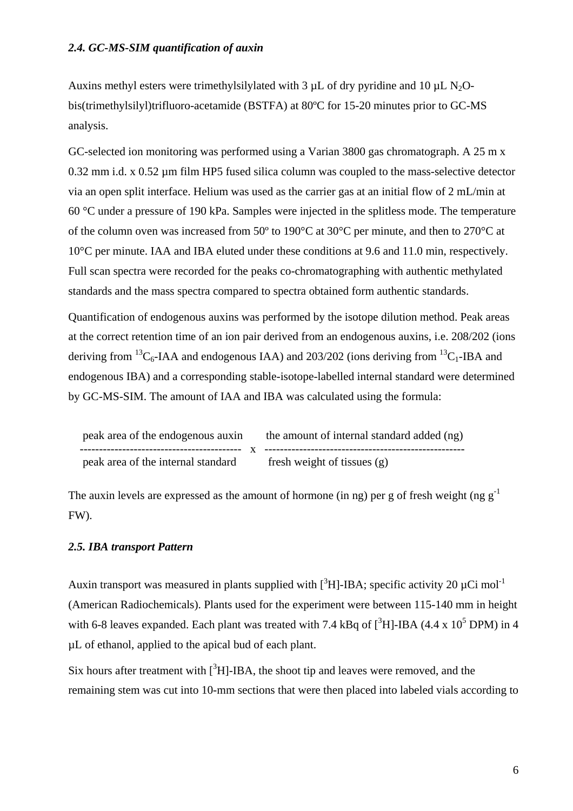#### *2.4. GC-MS-SIM quantification of auxin*

Auxins methyl esters were trimethylsilylated with 3  $\mu$ L of dry pyridine and 10  $\mu$ L N<sub>2</sub>Obis(trimethylsilyl)trifluoro-acetamide (BSTFA) at 80ºC for 15-20 minutes prior to GC-MS analysis.

GC-selected ion monitoring was performed using a Varian 3800 gas chromatograph. A 25 m x 0.32 mm i.d. x 0.52 µm film HP5 fused silica column was coupled to the mass-selective detector via an open split interface. Helium was used as the carrier gas at an initial flow of 2 mL/min at 60 °C under a pressure of 190 kPa. Samples were injected in the splitless mode. The temperature of the column oven was increased from 50º to 190°C at 30°C per minute, and then to 270°C at 10°C per minute. IAA and IBA eluted under these conditions at 9.6 and 11.0 min, respectively. Full scan spectra were recorded for the peaks co-chromatographing with authentic methylated standards and the mass spectra compared to spectra obtained form authentic standards.

Quantification of endogenous auxins was performed by the isotope dilution method. Peak areas at the correct retention time of an ion pair derived from an endogenous auxins, i.e. 208/202 (ions deriving from <sup>13</sup>C<sub>6</sub>-IAA and endogenous IAA) and 203/202 (ions deriving from <sup>13</sup>C<sub>1</sub>-IBA and endogenous IBA) and a corresponding stable-isotope-labelled internal standard were determined by GC-MS-SIM. The amount of IAA and IBA was calculated using the formula:

| peak area of the endogenous auxin  | the amount of internal standard added (ng) |
|------------------------------------|--------------------------------------------|
|                                    |                                            |
| peak area of the internal standard | fresh weight of tissues $(g)$              |

The auxin levels are expressed as the amount of hormone (in ng) per g of fresh weight (ng  $g^{-1}$ ) FW).

## *2.5. IBA transport Pattern*

Auxin transport was measured in plants supplied with  $[{}^{3}H]$ -IBA; specific activity 20  $\mu$ Ci mol<sup>-1</sup> (American Radiochemicals). Plants used for the experiment were between 115-140 mm in height with 6-8 leaves expanded. Each plant was treated with 7.4 kBq of  $[^{3}H]$ -IBA (4.4 x 10<sup>5</sup> DPM) in 4 µL of ethanol, applied to the apical bud of each plant.

Six hours after treatment with  $[{}^{3}H]$ -IBA, the shoot tip and leaves were removed, and the remaining stem was cut into 10-mm sections that were then placed into labeled vials according to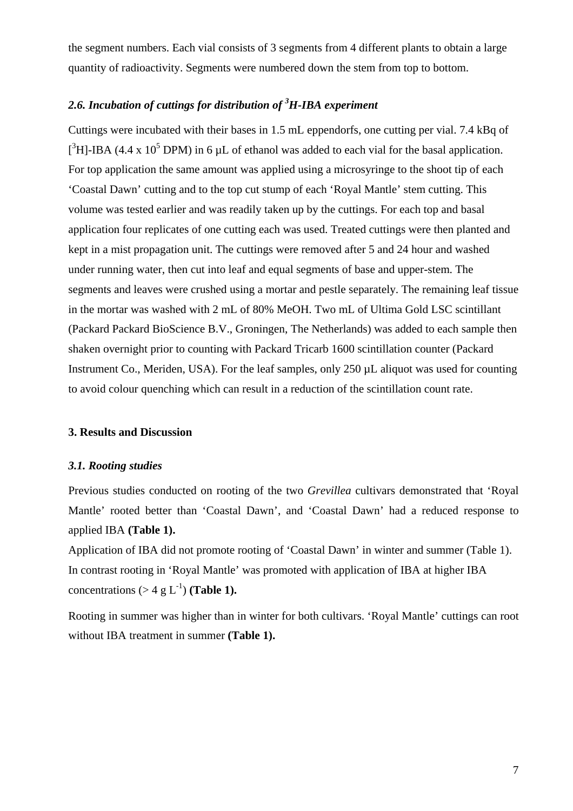the segment numbers. Each vial consists of 3 segments from 4 different plants to obtain a large quantity of radioactivity. Segments were numbered down the stem from top to bottom.

# *2.6. Incubation of cuttings for distribution of 3 H-IBA experiment*

Cuttings were incubated with their bases in 1.5 mL eppendorfs, one cutting per vial. 7.4 kBq of [<sup>3</sup>H]-IBA (4.4 x 10<sup>5</sup> DPM) in 6 µL of ethanol was added to each vial for the basal application. For top application the same amount was applied using a microsyringe to the shoot tip of each 'Coastal Dawn' cutting and to the top cut stump of each 'Royal Mantle' stem cutting. This volume was tested earlier and was readily taken up by the cuttings. For each top and basal application four replicates of one cutting each was used. Treated cuttings were then planted and kept in a mist propagation unit. The cuttings were removed after 5 and 24 hour and washed under running water, then cut into leaf and equal segments of base and upper-stem. The segments and leaves were crushed using a mortar and pestle separately. The remaining leaf tissue in the mortar was washed with 2 mL of 80% MeOH. Two mL of Ultima Gold LSC scintillant (Packard Packard BioScience B.V., Groningen, The Netherlands) was added to each sample then shaken overnight prior to counting with Packard Tricarb 1600 scintillation counter (Packard Instrument Co., Meriden, USA). For the leaf samples, only 250 µL aliquot was used for counting to avoid colour quenching which can result in a reduction of the scintillation count rate.

#### **3. Results and Discussion**

#### *3.1. Rooting studies*

Previous studies conducted on rooting of the two *Grevillea* cultivars demonstrated that 'Royal Mantle' rooted better than 'Coastal Dawn', and 'Coastal Dawn' had a reduced response to applied IBA **(Table 1).** 

Application of IBA did not promote rooting of 'Coastal Dawn' in winter and summer (Table 1). In contrast rooting in 'Royal Mantle' was promoted with application of IBA at higher IBA concentrations ( $> 4 \text{ g L}^{-1}$ ) (Table 1).

Rooting in summer was higher than in winter for both cultivars. 'Royal Mantle' cuttings can root without IBA treatment in summer **(Table 1).**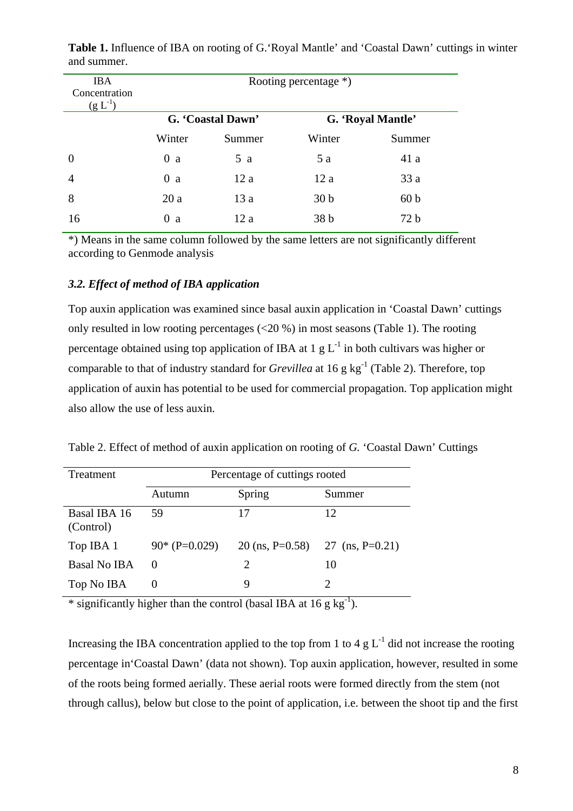| <b>IBA</b><br>Concentration<br>$(g L^{-1})$ | Rooting percentage $*$ ) |        |                 |                   |  |
|---------------------------------------------|--------------------------|--------|-----------------|-------------------|--|
|                                             | G. 'Coastal Dawn'        |        |                 | G. 'Royal Mantle' |  |
|                                             | Winter                   | Summer | Winter          | Summer            |  |
| $\Omega$                                    | $\overline{0}$<br>a      | 5a     | 5a              | 41 a              |  |
| 4                                           | $\overline{0}$<br>a      | 12a    | 12a             | 33a               |  |
| 8                                           | 20a                      | 13a    | 30 <sub>b</sub> | 60 <sub>b</sub>   |  |
| 16                                          | $\overline{0}$<br>a      | 12 a   | 38 <sub>b</sub> | 72 b              |  |

**Table 1.** Influence of IBA on rooting of G.'Royal Mantle' and 'Coastal Dawn' cuttings in winter and summer.

\*) Means in the same column followed by the same letters are not significantly different according to Genmode analysis

## *3.2. Effect of method of IBA application*

Top auxin application was examined since basal auxin application in 'Coastal Dawn' cuttings only resulted in low rooting percentages (<20 %) in most seasons (Table 1). The rooting percentage obtained using top application of IBA at 1 g  $L^{-1}$  in both cultivars was higher or comparable to that of industry standard for *Grevillea* at 16 g kg<sup>-1</sup> (Table 2). Therefore, top application of auxin has potential to be used for commercial propagation. Top application might also allow the use of less auxin.

|  |  |  | Table 2. Effect of method of auxin application on rooting of G. 'Coastal Dawn' Cuttings |  |
|--|--|--|-----------------------------------------------------------------------------------------|--|
|  |  |  |                                                                                         |  |

| Treatment                 | Percentage of cuttings rooted |                                                                                                                                                                 |        |  |  |
|---------------------------|-------------------------------|-----------------------------------------------------------------------------------------------------------------------------------------------------------------|--------|--|--|
|                           | Autumn                        | Spring                                                                                                                                                          | Summer |  |  |
| Basal IBA 16<br>(Control) | 59                            | 17                                                                                                                                                              | 12     |  |  |
| Top IBA 1                 | $90*(P=0.029)$                | 20 (ns, P=0.58) 27 (ns, P=0.21)                                                                                                                                 |        |  |  |
| <b>Basal No IBA</b>       | $\theta$                      | $\mathcal{D}_{\mathcal{A}}^{\mathcal{A}}(\mathcal{A})=\mathcal{D}_{\mathcal{A}}^{\mathcal{A}}(\mathcal{A})\mathcal{D}_{\mathcal{A}}^{\mathcal{A}}(\mathcal{A})$ | 10     |  |  |
| Top No IBA                |                               | Q                                                                                                                                                               |        |  |  |

\* significantly higher than the control (basal IBA at  $16 g kg^{-1}$ ).

Increasing the IBA concentration applied to the top from 1 to 4 g  $L^{-1}$  did not increase the rooting percentage in'Coastal Dawn' (data not shown). Top auxin application, however, resulted in some of the roots being formed aerially. These aerial roots were formed directly from the stem (not through callus), below but close to the point of application, i.e. between the shoot tip and the first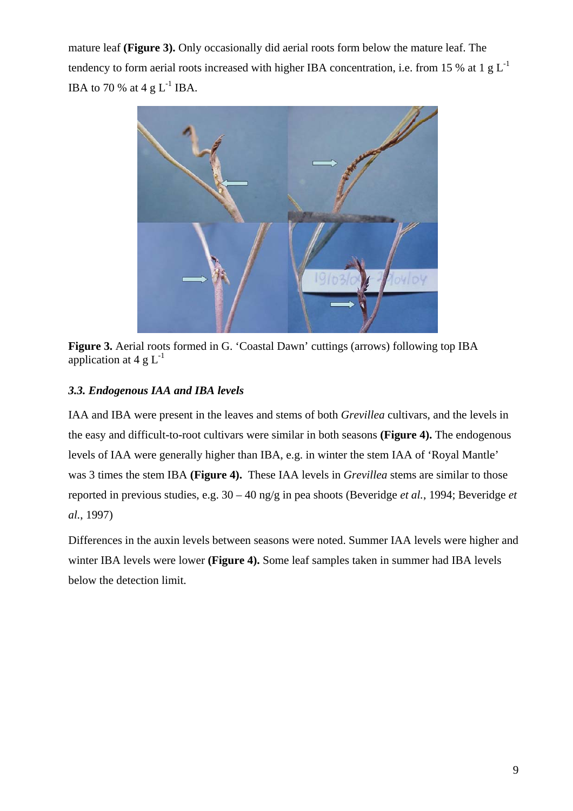mature leaf **(Figure 3).** Only occasionally did aerial roots form below the mature leaf. The tendency to form aerial roots increased with higher IBA concentration, i.e. from 15 % at 1 g  $L^{-1}$ IBA to 70 % at 4 g  $L^{-1}$  IBA.



**Figure 3.** Aerial roots formed in G. 'Coastal Dawn' cuttings (arrows) following top IBA application at 4  $g L^{-1}$ 

# *3.3. Endogenous IAA and IBA levels*

IAA and IBA were present in the leaves and stems of both *Grevillea* cultivars, and the levels in the easy and difficult-to-root cultivars were similar in both seasons **(Figure 4).** The endogenous levels of IAA were generally higher than IBA, e.g. in winter the stem IAA of 'Royal Mantle' was 3 times the stem IBA **(Figure 4).** These IAA levels in *Grevillea* stems are similar to those reported in previous studies, e.g. 30 – 40 ng/g in pea shoots (Beveridge *et al.*, 1994; Beveridge *et al.*, 1997)

Differences in the auxin levels between seasons were noted. Summer IAA levels were higher and winter IBA levels were lower **(Figure 4).** Some leaf samples taken in summer had IBA levels below the detection limit.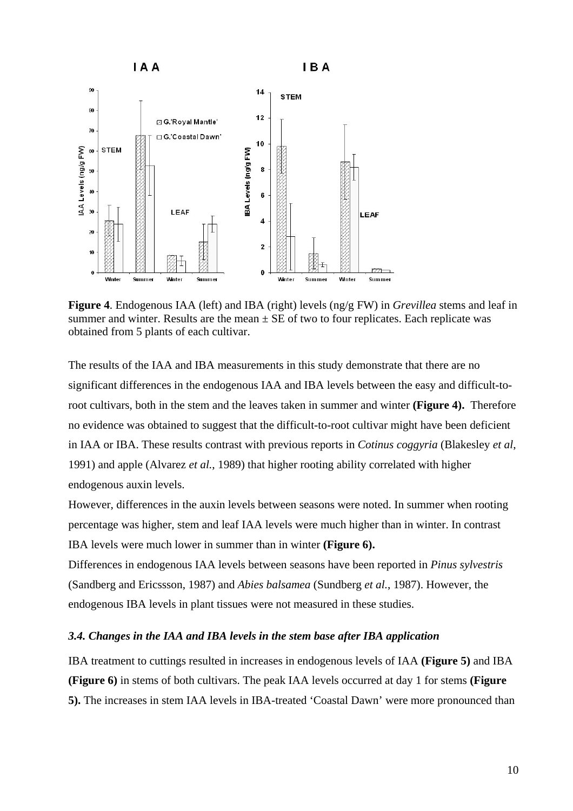

**Figure 4**. Endogenous IAA (left) and IBA (right) levels (ng/g FW) in *Grevillea* stems and leaf in summer and winter. Results are the mean  $\pm$  SE of two to four replicates. Each replicate was obtained from 5 plants of each cultivar.

The results of the IAA and IBA measurements in this study demonstrate that there are no significant differences in the endogenous IAA and IBA levels between the easy and difficult-toroot cultivars, both in the stem and the leaves taken in summer and winter **(Figure 4).** Therefore no evidence was obtained to suggest that the difficult-to-root cultivar might have been deficient in IAA or IBA. These results contrast with previous reports in *Cotinus coggyria* (Blakesley *et al*, 1991) and apple (Alvarez *et al.*, 1989) that higher rooting ability correlated with higher endogenous auxin levels.

However, differences in the auxin levels between seasons were noted. In summer when rooting percentage was higher, stem and leaf IAA levels were much higher than in winter. In contrast IBA levels were much lower in summer than in winter **(Figure 6).**

Differences in endogenous IAA levels between seasons have been reported in *Pinus sylvestris* (Sandberg and Ericssson, 1987) and *Abies balsamea* (Sundberg *et al.*, 1987). However, the endogenous IBA levels in plant tissues were not measured in these studies.

#### *3.4. Changes in the IAA and IBA levels in the stem base after IBA application*

IBA treatment to cuttings resulted in increases in endogenous levels of IAA **(Figure 5)** and IBA **(Figure 6)** in stems of both cultivars. The peak IAA levels occurred at day 1 for stems **(Figure 5).** The increases in stem IAA levels in IBA-treated 'Coastal Dawn' were more pronounced than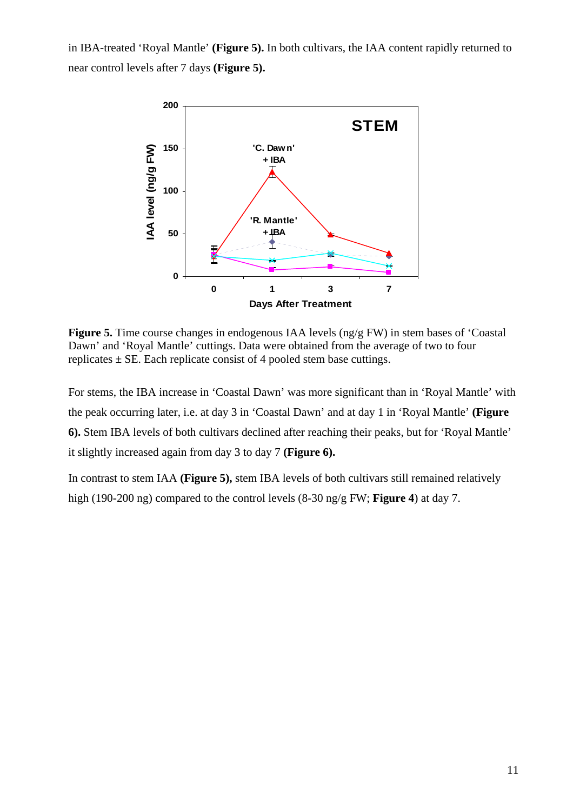in IBA-treated 'Royal Mantle' **(Figure 5).** In both cultivars, the IAA content rapidly returned to near control levels after 7 days **(Figure 5).**



**Figure 5.** Time course changes in endogenous IAA levels (ng/g FW) in stem bases of 'Coastal Dawn' and 'Royal Mantle' cuttings. Data were obtained from the average of two to four replicates  $\pm$  SE. Each replicate consist of 4 pooled stem base cuttings.

For stems, the IBA increase in 'Coastal Dawn' was more significant than in 'Royal Mantle' with the peak occurring later, i.e. at day 3 in 'Coastal Dawn' and at day 1 in 'Royal Mantle' **(Figure 6).** Stem IBA levels of both cultivars declined after reaching their peaks, but for 'Royal Mantle' it slightly increased again from day 3 to day 7 **(Figure 6).**

In contrast to stem IAA **(Figure 5),** stem IBA levels of both cultivars still remained relatively high (190-200 ng) compared to the control levels (8-30 ng/g FW; **Figure 4**) at day 7.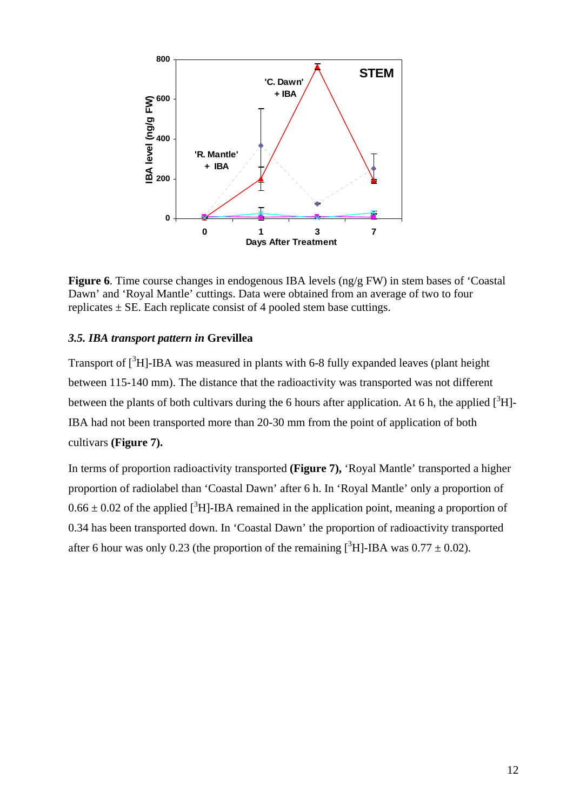

**Figure 6.** Time course changes in endogenous IBA levels (ng/g FW) in stem bases of 'Coastal Dawn' and 'Royal Mantle' cuttings. Data were obtained from an average of two to four replicates  $\pm$  SE. Each replicate consist of 4 pooled stem base cuttings.

#### *3.5. IBA transport pattern in* **Grevillea**

Transport of  $[^{3}H]$ -IBA was measured in plants with 6-8 fully expanded leaves (plant height between 115-140 mm). The distance that the radioactivity was transported was not different between the plants of both cultivars during the 6 hours after application. At 6 h, the applied  $[^{3}H]$ -IBA had not been transported more than 20-30 mm from the point of application of both cultivars **(Figure 7).**

In terms of proportion radioactivity transported **(Figure 7),** 'Royal Mantle' transported a higher proportion of radiolabel than 'Coastal Dawn' after 6 h. In 'Royal Mantle' only a proportion of  $0.66 \pm 0.02$  of the applied [<sup>3</sup>H]-IBA remained in the application point, meaning a proportion of 0.34 has been transported down. In 'Coastal Dawn' the proportion of radioactivity transported after 6 hour was only 0.23 (the proportion of the remaining  $[^{3}H]$ -IBA was 0.77  $\pm$  0.02).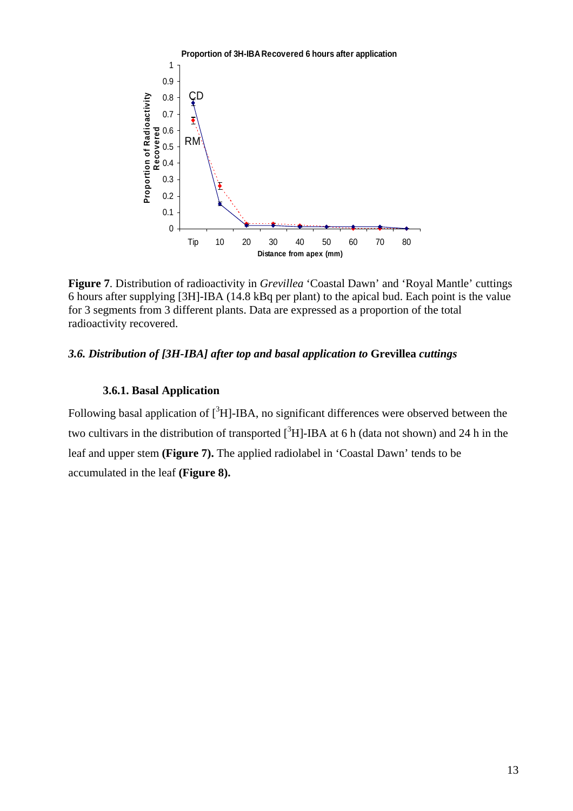

**Figure 7**. Distribution of radioactivity in *Grevillea* 'Coastal Dawn' and 'Royal Mantle' cuttings 6 hours after supplying [3H]-IBA (14.8 kBq per plant) to the apical bud. Each point is the value for 3 segments from 3 different plants. Data are expressed as a proportion of the total radioactivity recovered.

#### *3.6. Distribution of [3H-IBA] after top and basal application to* **Grevillea** *cuttings*

## **3.6.1. Basal Application**

Following basal application of  $[^{3}H]$ -IBA, no significant differences were observed between the two cultivars in the distribution of transported  $[^{3}H]$ -IBA at 6 h (data not shown) and 24 h in the leaf and upper stem **(Figure 7).** The applied radiolabel in 'Coastal Dawn' tends to be accumulated in the leaf **(Figure 8).**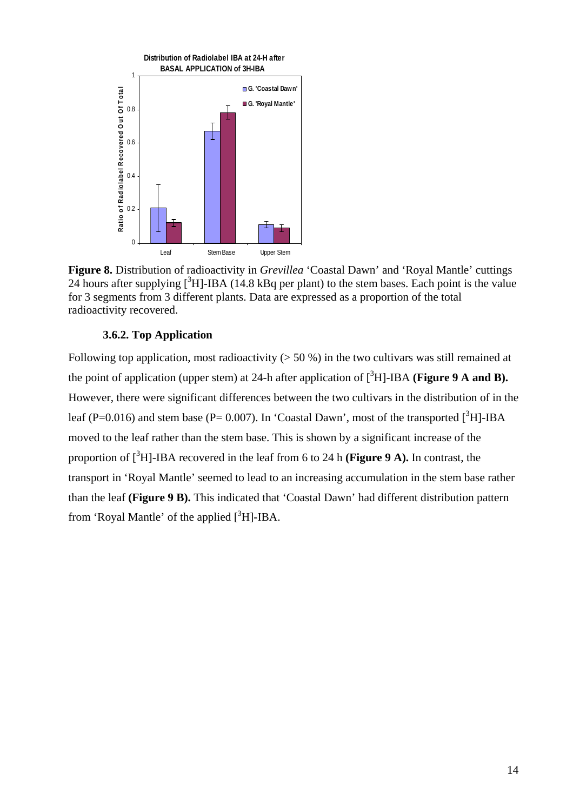

**Figure 8.** Distribution of radioactivity in *Grevillea* 'Coastal Dawn' and 'Royal Mantle' cuttings 24 hours after supplying  $\left[\right]$ <sup>3</sup>H]-IBA (14.8 kBq per plant) to the stem bases. Each point is the value for 3 segments from 3 different plants. Data are expressed as a proportion of the total radioactivity recovered.

#### **3.6.2. Top Application**

Following top application, most radioactivity ( $> 50\%$ ) in the two cultivars was still remained at the point of application (upper stem) at 24-h after application of  $[^{3}H]$ -IBA (**Figure 9 A and B).** However, there were significant differences between the two cultivars in the distribution of in the leaf (P=0.016) and stem base (P= 0.007). In 'Coastal Dawn', most of the transported  $[^{3}H]$ -IBA moved to the leaf rather than the stem base. This is shown by a significant increase of the proportion of  $[^{3}H]$ -IBA recovered in the leaf from 6 to 24 h (**Figure 9 A).** In contrast, the transport in 'Royal Mantle' seemed to lead to an increasing accumulation in the stem base rather than the leaf **(Figure 9 B).** This indicated that 'Coastal Dawn' had different distribution pattern from 'Royal Mantle' of the applied  $[^{3}H]$ -IBA.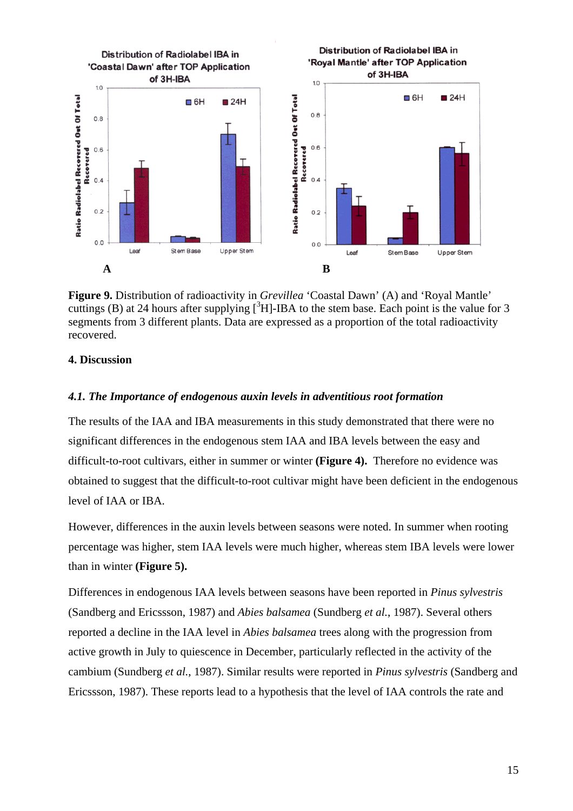

**Figure 9.** Distribution of radioactivity in *Grevillea* 'Coastal Dawn' (A) and 'Royal Mantle' cuttings (B) at 24 hours after supplying  $[{}^{3}H]$ -IBA to the stem base. Each point is the value for 3 segments from 3 different plants. Data are expressed as a proportion of the total radioactivity recovered.

# **4. Discussion**

## *4.1. The Importance of endogenous auxin levels in adventitious root formation*

The results of the IAA and IBA measurements in this study demonstrated that there were no significant differences in the endogenous stem IAA and IBA levels between the easy and difficult-to-root cultivars, either in summer or winter **(Figure 4).** Therefore no evidence was obtained to suggest that the difficult-to-root cultivar might have been deficient in the endogenous level of IAA or IBA.

However, differences in the auxin levels between seasons were noted. In summer when rooting percentage was higher, stem IAA levels were much higher, whereas stem IBA levels were lower than in winter **(Figure 5).**

Differences in endogenous IAA levels between seasons have been reported in *Pinus sylvestris* (Sandberg and Ericssson, 1987) and *Abies balsamea* (Sundberg *et al.*, 1987). Several others reported a decline in the IAA level in *Abies balsamea* trees along with the progression from active growth in July to quiescence in December, particularly reflected in the activity of the cambium (Sundberg *et al.*, 1987). Similar results were reported in *Pinus sylvestris* (Sandberg and Ericssson, 1987). These reports lead to a hypothesis that the level of IAA controls the rate and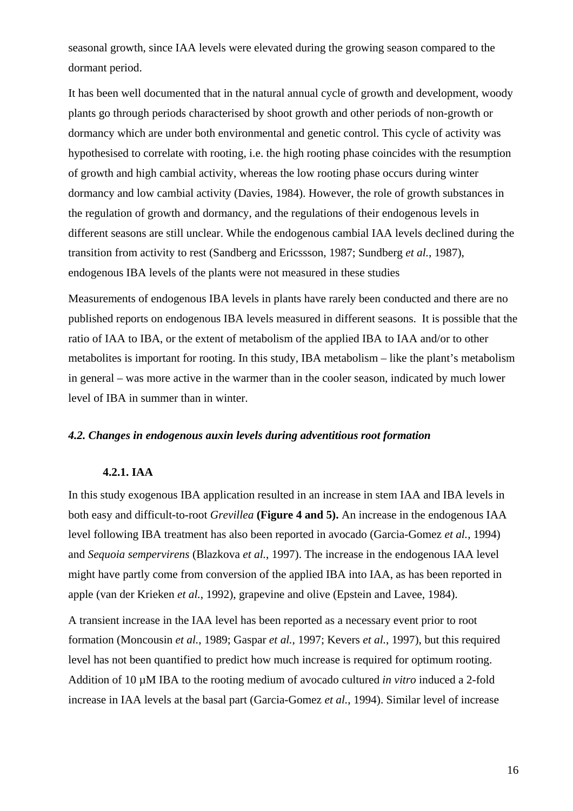seasonal growth, since IAA levels were elevated during the growing season compared to the dormant period.

It has been well documented that in the natural annual cycle of growth and development, woody plants go through periods characterised by shoot growth and other periods of non-growth or dormancy which are under both environmental and genetic control. This cycle of activity was hypothesised to correlate with rooting, i.e. the high rooting phase coincides with the resumption of growth and high cambial activity, whereas the low rooting phase occurs during winter dormancy and low cambial activity (Davies, 1984). However, the role of growth substances in the regulation of growth and dormancy, and the regulations of their endogenous levels in different seasons are still unclear. While the endogenous cambial IAA levels declined during the transition from activity to rest (Sandberg and Ericssson, 1987; Sundberg *et al.*, 1987), endogenous IBA levels of the plants were not measured in these studies

Measurements of endogenous IBA levels in plants have rarely been conducted and there are no published reports on endogenous IBA levels measured in different seasons. It is possible that the ratio of IAA to IBA, or the extent of metabolism of the applied IBA to IAA and/or to other metabolites is important for rooting. In this study, IBA metabolism – like the plant's metabolism in general – was more active in the warmer than in the cooler season, indicated by much lower level of IBA in summer than in winter.

#### *4.2. Changes in endogenous auxin levels during adventitious root formation*

## **4.2.1. IAA**

In this study exogenous IBA application resulted in an increase in stem IAA and IBA levels in both easy and difficult-to-root *Grevillea* **(Figure 4 and 5).** An increase in the endogenous IAA level following IBA treatment has also been reported in avocado (Garcia-Gomez *et al.*, 1994) and *Sequoia sempervirens* (Blazkova *et al.*, 1997). The increase in the endogenous IAA level might have partly come from conversion of the applied IBA into IAA, as has been reported in apple (van der Krieken *et al.*, 1992), grapevine and olive (Epstein and Lavee, 1984).

A transient increase in the IAA level has been reported as a necessary event prior to root formation (Moncousin *et al.*, 1989; Gaspar *et al.*, 1997; Kevers *et al.*, 1997), but this required level has not been quantified to predict how much increase is required for optimum rooting. Addition of 10 µM IBA to the rooting medium of avocado cultured *in vitro* induced a 2-fold increase in IAA levels at the basal part (Garcia-Gomez *et al.*, 1994). Similar level of increase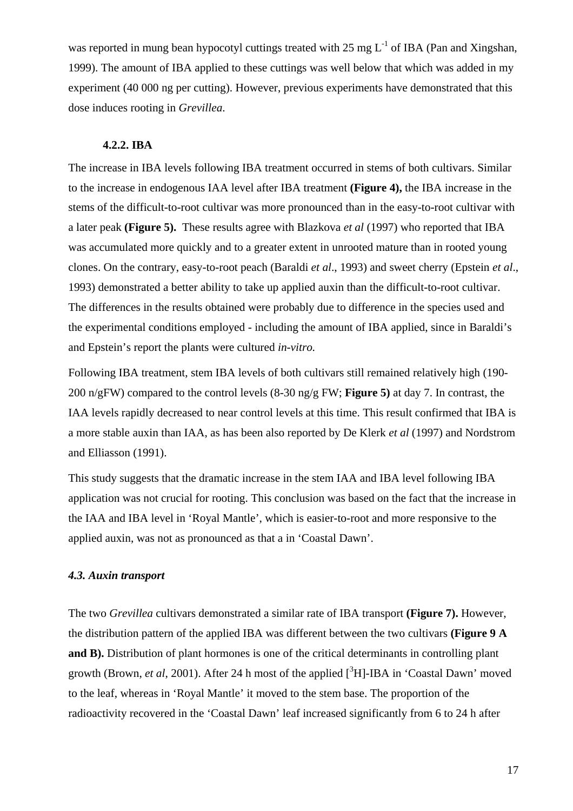was reported in mung bean hypocotyl cuttings treated with 25 mg  $L^{-1}$  of IBA (Pan and Xingshan, 1999). The amount of IBA applied to these cuttings was well below that which was added in my experiment (40 000 ng per cutting). However, previous experiments have demonstrated that this dose induces rooting in *Grevillea*.

## **4.2.2. IBA**

The increase in IBA levels following IBA treatment occurred in stems of both cultivars. Similar to the increase in endogenous IAA level after IBA treatment **(Figure 4),** the IBA increase in the stems of the difficult-to-root cultivar was more pronounced than in the easy-to-root cultivar with a later peak **(Figure 5).** These results agree with Blazkova *et al* (1997) who reported that IBA was accumulated more quickly and to a greater extent in unrooted mature than in rooted young clones. On the contrary, easy-to-root peach (Baraldi *et al*., 1993) and sweet cherry (Epstein *et al*., 1993) demonstrated a better ability to take up applied auxin than the difficult-to-root cultivar. The differences in the results obtained were probably due to difference in the species used and the experimental conditions employed - including the amount of IBA applied, since in Baraldi's and Epstein's report the plants were cultured *in-vitro.*

Following IBA treatment, stem IBA levels of both cultivars still remained relatively high (190- 200 n/gFW) compared to the control levels (8-30 ng/g FW; **Figure 5)** at day 7. In contrast, the IAA levels rapidly decreased to near control levels at this time. This result confirmed that IBA is a more stable auxin than IAA, as has been also reported by De Klerk *et al* (1997) and Nordstrom and Elliasson (1991).

This study suggests that the dramatic increase in the stem IAA and IBA level following IBA application was not crucial for rooting. This conclusion was based on the fact that the increase in the IAA and IBA level in 'Royal Mantle', which is easier-to-root and more responsive to the applied auxin, was not as pronounced as that a in 'Coastal Dawn'.

#### *4.3. Auxin transport*

The two *Grevillea* cultivars demonstrated a similar rate of IBA transport **(Figure 7).** However, the distribution pattern of the applied IBA was different between the two cultivars **(Figure 9 A and B).** Distribution of plant hormones is one of the critical determinants in controlling plant growth (Brown, *et al*, 2001). After 24 h most of the applied [<sup>3</sup>H]-IBA in 'Coastal Dawn' moved to the leaf, whereas in 'Royal Mantle' it moved to the stem base. The proportion of the radioactivity recovered in the 'Coastal Dawn' leaf increased significantly from 6 to 24 h after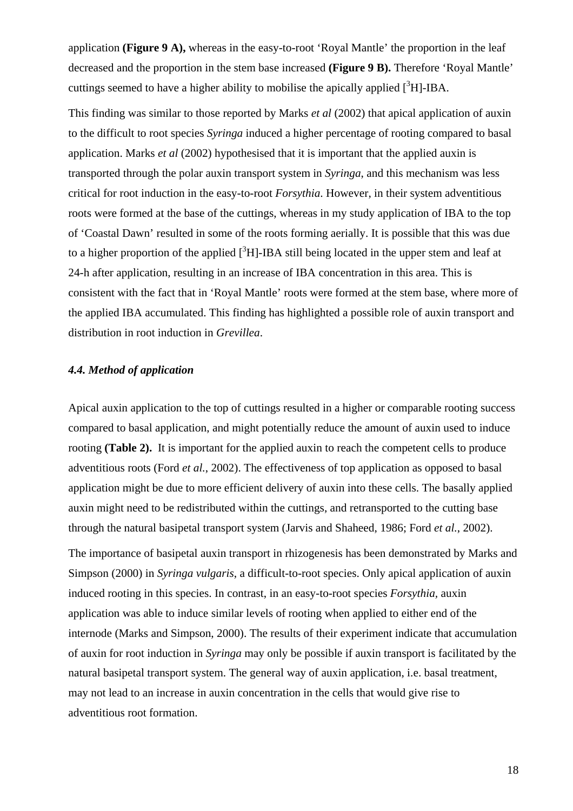application **(Figure 9 A),** whereas in the easy-to-root 'Royal Mantle' the proportion in the leaf decreased and the proportion in the stem base increased **(Figure 9 B).** Therefore 'Royal Mantle' cuttings seemed to have a higher ability to mobilise the apically applied  $[^{3}H]$ -IBA.

This finding was similar to those reported by Marks *et al* (2002) that apical application of auxin to the difficult to root species *Syringa* induced a higher percentage of rooting compared to basal application. Marks *et al* (2002) hypothesised that it is important that the applied auxin is transported through the polar auxin transport system in *Syringa*, and this mechanism was less critical for root induction in the easy-to-root *Forsythia*. However, in their system adventitious roots were formed at the base of the cuttings, whereas in my study application of IBA to the top of 'Coastal Dawn' resulted in some of the roots forming aerially. It is possible that this was due to a higher proportion of the applied  $[{}^{3}H]$ -IBA still being located in the upper stem and leaf at 24-h after application, resulting in an increase of IBA concentration in this area. This is consistent with the fact that in 'Royal Mantle' roots were formed at the stem base, where more of the applied IBA accumulated. This finding has highlighted a possible role of auxin transport and distribution in root induction in *Grevillea*.

## *4.4. Method of application*

Apical auxin application to the top of cuttings resulted in a higher or comparable rooting success compared to basal application, and might potentially reduce the amount of auxin used to induce rooting **(Table 2).** It is important for the applied auxin to reach the competent cells to produce adventitious roots (Ford *et al.*, 2002). The effectiveness of top application as opposed to basal application might be due to more efficient delivery of auxin into these cells. The basally applied auxin might need to be redistributed within the cuttings, and retransported to the cutting base through the natural basipetal transport system (Jarvis and Shaheed, 1986; Ford *et al.*, 2002).

The importance of basipetal auxin transport in rhizogenesis has been demonstrated by Marks and Simpson (2000) in *Syringa vulgaris*, a difficult-to-root species. Only apical application of auxin induced rooting in this species. In contrast, in an easy-to-root species *Forsythia,* auxin application was able to induce similar levels of rooting when applied to either end of the internode (Marks and Simpson, 2000). The results of their experiment indicate that accumulation of auxin for root induction in *Syringa* may only be possible if auxin transport is facilitated by the natural basipetal transport system. The general way of auxin application, i.e. basal treatment, may not lead to an increase in auxin concentration in the cells that would give rise to adventitious root formation.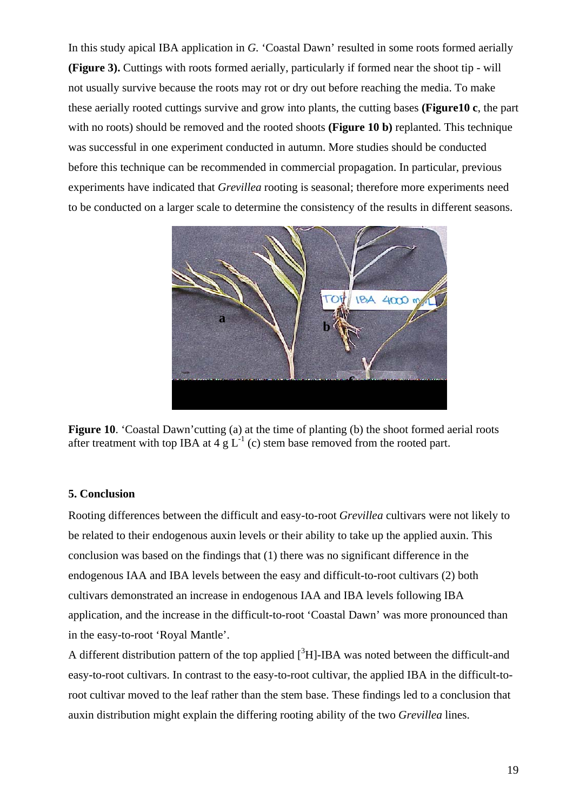In this study apical IBA application in *G.* 'Coastal Dawn' resulted in some roots formed aerially **(Figure 3).** Cuttings with roots formed aerially, particularly if formed near the shoot tip - will not usually survive because the roots may rot or dry out before reaching the media. To make these aerially rooted cuttings survive and grow into plants, the cutting bases **(Figure10 c**, the part with no roots) should be removed and the rooted shoots **(Figure 10 b)** replanted. This technique was successful in one experiment conducted in autumn. More studies should be conducted before this technique can be recommended in commercial propagation. In particular, previous experiments have indicated that *Grevillea* rooting is seasonal; therefore more experiments need to be conducted on a larger scale to determine the consistency of the results in different seasons.



**Figure 10.** 'Coastal Dawn' cutting (a) at the time of planting (b) the shoot formed aerial roots after treatment with top IBA at  $4 \times L^{-1}$  (c) stem base removed from the rooted part.

#### **5. Conclusion**

Rooting differences between the difficult and easy-to-root *Grevillea* cultivars were not likely to be related to their endogenous auxin levels or their ability to take up the applied auxin. This conclusion was based on the findings that (1) there was no significant difference in the endogenous IAA and IBA levels between the easy and difficult-to-root cultivars (2) both cultivars demonstrated an increase in endogenous IAA and IBA levels following IBA application, and the increase in the difficult-to-root 'Coastal Dawn' was more pronounced than in the easy-to-root 'Royal Mantle'.

A different distribution pattern of the top applied  $[^{3}H]$ -IBA was noted between the difficult-and easy-to-root cultivars. In contrast to the easy-to-root cultivar, the applied IBA in the difficult-toroot cultivar moved to the leaf rather than the stem base. These findings led to a conclusion that auxin distribution might explain the differing rooting ability of the two *Grevillea* lines.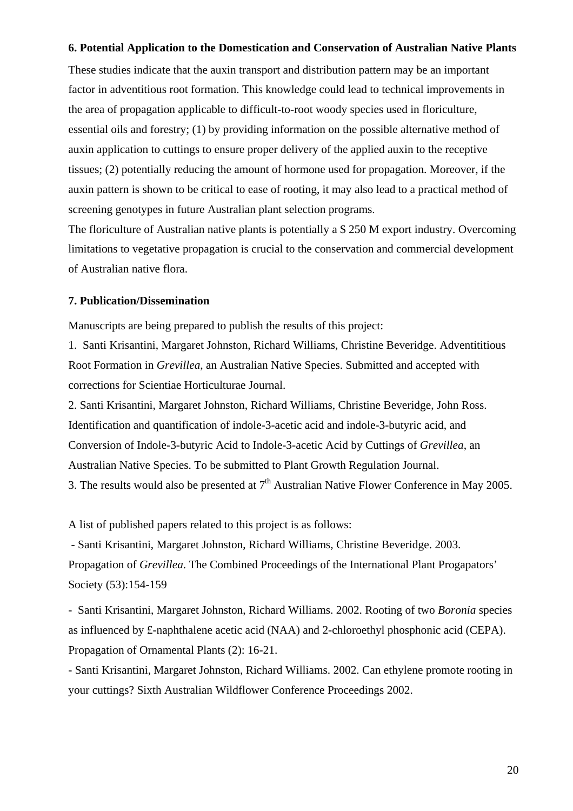#### **6. Potential Application to the Domestication and Conservation of Australian Native Plants**

These studies indicate that the auxin transport and distribution pattern may be an important factor in adventitious root formation. This knowledge could lead to technical improvements in the area of propagation applicable to difficult-to-root woody species used in floriculture, essential oils and forestry; (1) by providing information on the possible alternative method of auxin application to cuttings to ensure proper delivery of the applied auxin to the receptive tissues; (2) potentially reducing the amount of hormone used for propagation. Moreover, if the auxin pattern is shown to be critical to ease of rooting, it may also lead to a practical method of screening genotypes in future Australian plant selection programs.

The floriculture of Australian native plants is potentially a \$ 250 M export industry. Overcoming limitations to vegetative propagation is crucial to the conservation and commercial development of Australian native flora.

#### **7. Publication/Dissemination**

Manuscripts are being prepared to publish the results of this project:

1. Santi Krisantini, Margaret Johnston, Richard Williams, Christine Beveridge. Adventititious Root Formation in *Grevillea*, an Australian Native Species. Submitted and accepted with corrections for Scientiae Horticulturae Journal.

2. Santi Krisantini, Margaret Johnston, Richard Williams, Christine Beveridge, John Ross. Identification and quantification of indole-3-acetic acid and indole-3-butyric acid, and Conversion of Indole-3-butyric Acid to Indole-3-acetic Acid by Cuttings of *Grevillea*, an Australian Native Species. To be submitted to Plant Growth Regulation Journal.

3. The results would also be presented at  $7<sup>th</sup>$  Australian Native Flower Conference in May 2005.

A list of published papers related to this project is as follows:

 - Santi Krisantini, Margaret Johnston, Richard Williams, Christine Beveridge. 2003. Propagation of *Grevillea*. The Combined Proceedings of the International Plant Progapators' Society (53):154-159

- Santi Krisantini, Margaret Johnston, Richard Williams. 2002. Rooting of two *Boronia* species as influenced by £-naphthalene acetic acid (NAA) and 2-chloroethyl phosphonic acid (CEPA). Propagation of Ornamental Plants (2): 16-21.

- Santi Krisantini, Margaret Johnston, Richard Williams. 2002. Can ethylene promote rooting in your cuttings? Sixth Australian Wildflower Conference Proceedings 2002.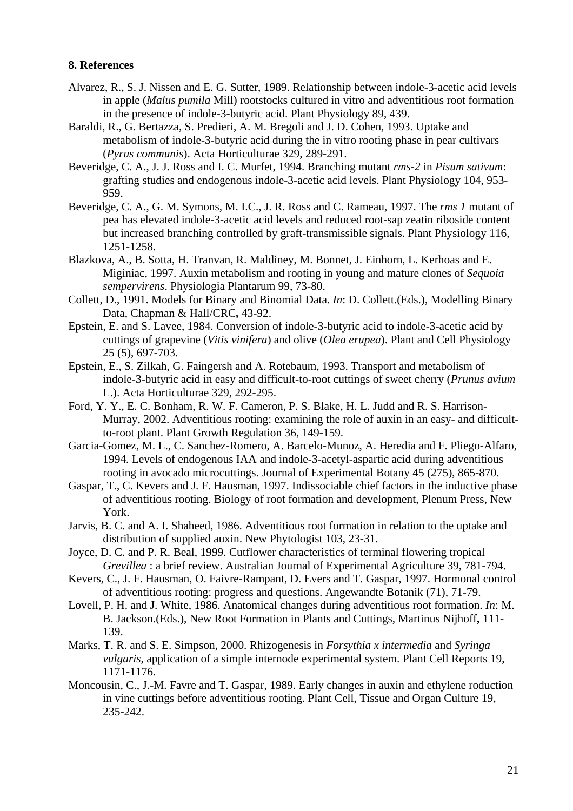#### **8. References**

- Alvarez, R., S. J. Nissen and E. G. Sutter, 1989. Relationship between indole-3-acetic acid levels in apple (*Malus pumila* Mill) rootstocks cultured in vitro and adventitious root formation in the presence of indole-3-butyric acid. Plant Physiology 89, 439.
- Baraldi, R., G. Bertazza, S. Predieri, A. M. Bregoli and J. D. Cohen, 1993. Uptake and metabolism of indole-3-butyric acid during the in vitro rooting phase in pear cultivars (*Pyrus communis*). Acta Horticulturae 329, 289-291.
- Beveridge, C. A., J. J. Ross and I. C. Murfet, 1994. Branching mutant *rms-2* in *Pisum sativum*: grafting studies and endogenous indole-3-acetic acid levels. Plant Physiology 104, 953- 959.
- Beveridge, C. A., G. M. Symons, M. I.C., J. R. Ross and C. Rameau, 1997. The *rms 1* mutant of pea has elevated indole-3-acetic acid levels and reduced root-sap zeatin riboside content but increased branching controlled by graft-transmissible signals. Plant Physiology 116, 1251-1258.
- Blazkova, A., B. Sotta, H. Tranvan, R. Maldiney, M. Bonnet, J. Einhorn, L. Kerhoas and E. Miginiac, 1997. Auxin metabolism and rooting in young and mature clones of *Sequoia sempervirens*. Physiologia Plantarum 99, 73-80.
- Collett, D., 1991. Models for Binary and Binomial Data. *In*: D. Collett.(Eds.), Modelling Binary Data, Chapman & Hall/CRC**,** 43-92.
- Epstein, E. and S. Lavee, 1984. Conversion of indole-3-butyric acid to indole-3-acetic acid by cuttings of grapevine (*Vitis vinifera*) and olive (*Olea erupea*). Plant and Cell Physiology 25 (5), 697-703.
- Epstein, E., S. Zilkah, G. Faingersh and A. Rotebaum, 1993. Transport and metabolism of indole-3-butyric acid in easy and difficult-to-root cuttings of sweet cherry (*Prunus avium* L.). Acta Horticulturae 329, 292-295.
- Ford, Y. Y., E. C. Bonham, R. W. F. Cameron, P. S. Blake, H. L. Judd and R. S. Harrison-Murray, 2002. Adventitious rooting: examining the role of auxin in an easy- and difficultto-root plant. Plant Growth Regulation 36, 149-159.
- Garcia-Gomez, M. L., C. Sanchez-Romero, A. Barcelo-Munoz, A. Heredia and F. Pliego-Alfaro, 1994. Levels of endogenous IAA and indole-3-acetyl-aspartic acid during adventitious rooting in avocado microcuttings. Journal of Experimental Botany 45 (275), 865-870.
- Gaspar, T., C. Kevers and J. F. Hausman, 1997. Indissociable chief factors in the inductive phase of adventitious rooting. Biology of root formation and development, Plenum Press, New York.
- Jarvis, B. C. and A. I. Shaheed, 1986. Adventitious root formation in relation to the uptake and distribution of supplied auxin. New Phytologist 103, 23-31.
- Joyce, D. C. and P. R. Beal, 1999. Cutflower characteristics of terminal flowering tropical *Grevillea* : a brief review. Australian Journal of Experimental Agriculture 39, 781-794.
- Kevers, C., J. F. Hausman, O. Faivre-Rampant, D. Evers and T. Gaspar, 1997. Hormonal control of adventitious rooting: progress and questions. Angewandte Botanik (71), 71-79.
- Lovell, P. H. and J. White, 1986. Anatomical changes during adventitious root formation. *In*: M. B. Jackson.(Eds.), New Root Formation in Plants and Cuttings, Martinus Nijhoff**,** 111- 139.
- Marks, T. R. and S. E. Simpson, 2000. Rhizogenesis in *Forsythia x intermedia* and *Syringa vulgaris*, application of a simple internode experimental system. Plant Cell Reports 19, 1171-1176.
- Moncousin, C., J.-M. Favre and T. Gaspar, 1989. Early changes in auxin and ethylene roduction in vine cuttings before adventitious rooting. Plant Cell, Tissue and Organ Culture 19, 235-242.